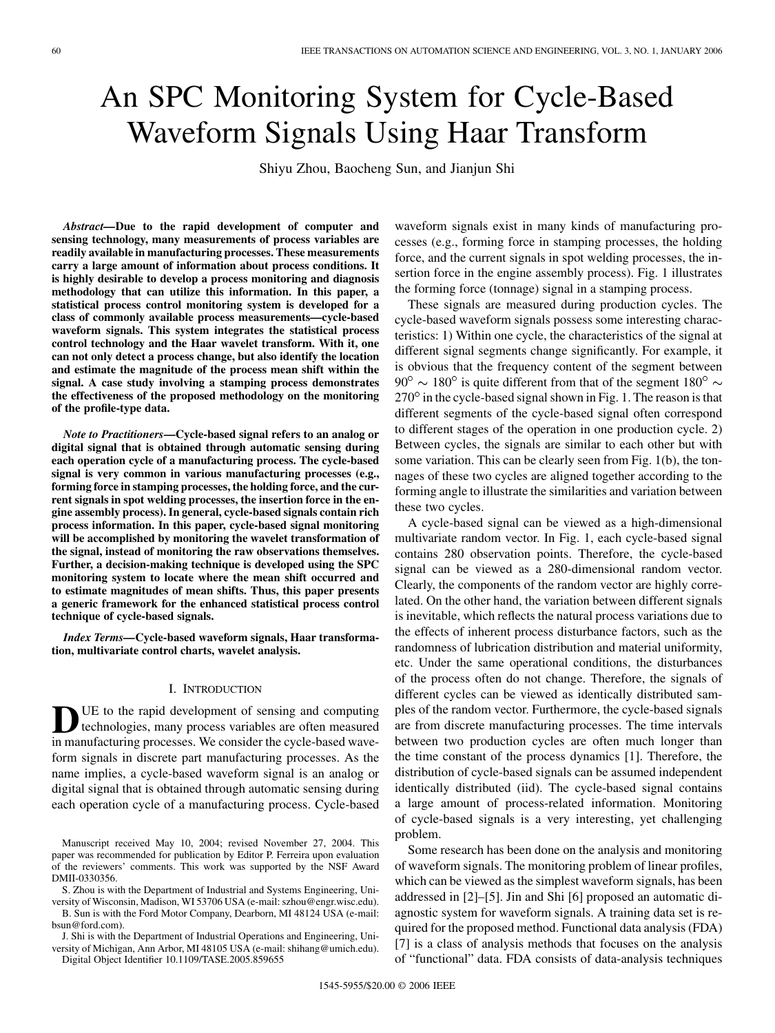# An SPC Monitoring System for Cycle-Based Waveform Signals Using Haar Transform

Shiyu Zhou, Baocheng Sun, and Jianjun Shi

*Abstract—***Due to the rapid development of computer and sensing technology, many measurements of process variables are readily available in manufacturing processes. These measurements carry a large amount of information about process conditions. It is highly desirable to develop a process monitoring and diagnosis methodology that can utilize this information. In this paper, a statistical process control monitoring system is developed for a class of commonly available process measurements—cycle-based waveform signals. This system integrates the statistical process control technology and the Haar wavelet transform. With it, one can not only detect a process change, but also identify the location and estimate the magnitude of the process mean shift within the signal. A case study involving a stamping process demonstrates the effectiveness of the proposed methodology on the monitoring of the profile-type data.**

*Note to Practitioners***—Cycle-based signal refers to an analog or digital signal that is obtained through automatic sensing during each operation cycle of a manufacturing process. The cycle-based signal is very common in various manufacturing processes (e.g., forming force in stamping processes, the holding force, and the current signals in spot welding processes, the insertion force in the engine assembly process). In general, cycle-based signals contain rich process information. In this paper, cycle-based signal monitoring will be accomplished by monitoring the wavelet transformation of the signal, instead of monitoring the raw observations themselves. Further, a decision-making technique is developed using the SPC monitoring system to locate where the mean shift occurred and to estimate magnitudes of mean shifts. Thus, this paper presents a generic framework for the enhanced statistical process control technique of cycle-based signals.**

*Index Terms—***Cycle-based waveform signals, Haar transformation, multivariate control charts, wavelet analysis.**

## I. INTRODUCTION

DUE to the rapid development of sensing and computing<br>technologies, many process variables are often measured<br>in mean-fecturing areassess. We senside the surely besed were in manufacturing processes. We consider the cycle-based waveform signals in discrete part manufacturing processes. As the name implies, a cycle-based waveform signal is an analog or digital signal that is obtained through automatic sensing during each operation cycle of a manufacturing process. Cycle-based

B. Sun is with the Ford Motor Company, Dearborn, MI 48124 USA (e-mail: bsun@ford.com).

J. Shi is with the Department of Industrial Operations and Engineering, University of Michigan, Ann Arbor, MI 48105 USA (e-mail: shihang@umich.edu).

Digital Object Identifier 10.1109/TASE.2005.859655

waveform signals exist in many kinds of manufacturing processes (e.g., forming force in stamping processes, the holding force, and the current signals in spot welding processes, the insertion force in the engine assembly process). Fig. 1 illustrates the forming force (tonnage) signal in a stamping process.

These signals are measured during production cycles. The cycle-based waveform signals possess some interesting characteristics: 1) Within one cycle, the characteristics of the signal at different signal segments change significantly. For example, it is obvious that the frequency content of the segment between  $90^{\circ} \sim 180^{\circ}$  is quite different from that of the segment  $180^{\circ} \sim$  $270^\circ$  in the cycle-based signal shown in Fig. 1. The reason is that different segments of the cycle-based signal often correspond to different stages of the operation in one production cycle. 2) Between cycles, the signals are similar to each other but with some variation. This can be clearly seen from Fig. 1(b), the tonnages of these two cycles are aligned together according to the forming angle to illustrate the similarities and variation between these two cycles.

A cycle-based signal can be viewed as a high-dimensional multivariate random vector. In Fig. 1, each cycle-based signal contains 280 observation points. Therefore, the cycle-based signal can be viewed as a 280-dimensional random vector. Clearly, the components of the random vector are highly correlated. On the other hand, the variation between different signals is inevitable, which reflects the natural process variations due to the effects of inherent process disturbance factors, such as the randomness of lubrication distribution and material uniformity, etc. Under the same operational conditions, the disturbances of the process often do not change. Therefore, the signals of different cycles can be viewed as identically distributed samples of the random vector. Furthermore, the cycle-based signals are from discrete manufacturing processes. The time intervals between two production cycles are often much longer than the time constant of the process dynamics [[1\]](#page-12-0). Therefore, the distribution of cycle-based signals can be assumed independent identically distributed (iid). The cycle-based signal contains a large amount of process-related information. Monitoring of cycle-based signals is a very interesting, yet challenging problem.

Some research has been done on the analysis and monitoring of waveform signals. The monitoring problem of linear profiles, which can be viewed as the simplest waveform signals, has been addressed in [\[2](#page-12-0)]–[[5\]](#page-12-0). Jin and Shi [[6\]](#page-12-0) proposed an automatic diagnostic system for waveform signals. A training data set is required for the proposed method. Functional data analysis (FDA) [[7\]](#page-12-0) is a class of analysis methods that focuses on the analysis of "functional" data. FDA consists of data-analysis techniques

Manuscript received May 10, 2004; revised November 27, 2004. This paper was recommended for publication by Editor P. Ferreira upon evaluation of the reviewers' comments. This work was supported by the NSF Award DMII-0330356.

S. Zhou is with the Department of Industrial and Systems Engineering, University of Wisconsin, Madison, WI 53706 USA (e-mail: szhou@engr.wisc.edu).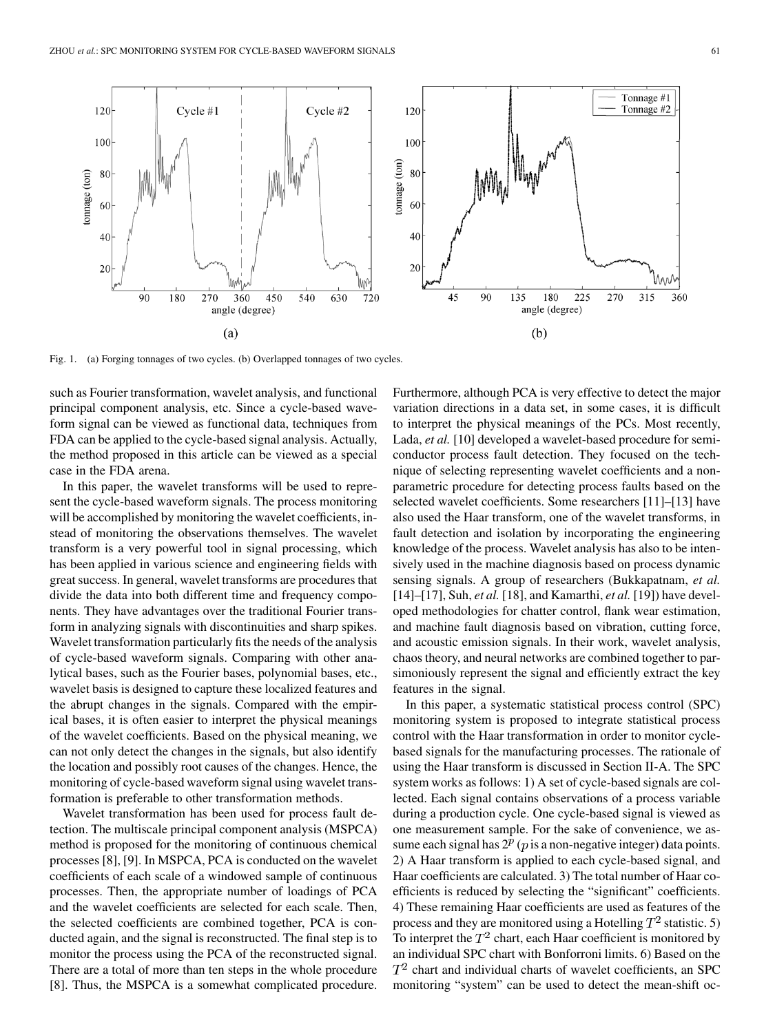

Fig. 1. (a) Forging tonnages of two cycles. (b) Overlapped tonnages of two cycles.

such as Fourier transformation, wavelet analysis, and functional principal component analysis, etc. Since a cycle-based waveform signal can be viewed as functional data, techniques from FDA can be applied to the cycle-based signal analysis. Actually, the method proposed in this article can be viewed as a special case in the FDA arena.

In this paper, the wavelet transforms will be used to represent the cycle-based waveform signals. The process monitoring will be accomplished by monitoring the wavelet coefficients, instead of monitoring the observations themselves. The wavelet transform is a very powerful tool in signal processing, which has been applied in various science and engineering fields with great success. In general, wavelet transforms are procedures that divide the data into both different time and frequency components. They have advantages over the traditional Fourier transform in analyzing signals with discontinuities and sharp spikes. Wavelet transformation particularly fits the needs of the analysis of cycle-based waveform signals. Comparing with other analytical bases, such as the Fourier bases, polynomial bases, etc., wavelet basis is designed to capture these localized features and the abrupt changes in the signals. Compared with the empirical bases, it is often easier to interpret the physical meanings of the wavelet coefficients. Based on the physical meaning, we can not only detect the changes in the signals, but also identify the location and possibly root causes of the changes. Hence, the monitoring of cycle-based waveform signal using wavelet transformation is preferable to other transformation methods.

Wavelet transformation has been used for process fault detection. The multiscale principal component analysis (MSPCA) method is proposed for the monitoring of continuous chemical processes [[8\]](#page-12-0), [[9\]](#page-12-0). In MSPCA, PCA is conducted on the wavelet coefficients of each scale of a windowed sample of continuous processes. Then, the appropriate number of loadings of PCA and the wavelet coefficients are selected for each scale. Then, the selected coefficients are combined together, PCA is conducted again, and the signal is reconstructed. The final step is to monitor the process using the PCA of the reconstructed signal. There are a total of more than ten steps in the whole procedure [\[8](#page-12-0)]. Thus, the MSPCA is a somewhat complicated procedure.

Furthermore, although PCA is very effective to detect the major variation directions in a data set, in some cases, it is difficult to interpret the physical meanings of the PCs. Most recently, Lada, *et al.* [[10\]](#page-12-0) developed a wavelet-based procedure for semiconductor process fault detection. They focused on the technique of selecting representing wavelet coefficients and a nonparametric procedure for detecting process faults based on the selected wavelet coefficients. Some researchers [\[11](#page-12-0)]–[[13\]](#page-12-0) have also used the Haar transform, one of the wavelet transforms, in fault detection and isolation by incorporating the engineering knowledge of the process. Wavelet analysis has also to be intensively used in the machine diagnosis based on process dynamic sensing signals. A group of researchers (Bukkapatnam, *et al.* [\[14](#page-12-0)]–[\[17\]](#page-12-0), Suh, *et al.* [\[18](#page-12-0)], and Kamarthi, *et al.* [[19\]](#page-12-0)) have developed methodologies for chatter control, flank wear estimation, and machine fault diagnosis based on vibration, cutting force, and acoustic emission signals. In their work, wavelet analysis, chaos theory, and neural networks are combined together to parsimoniously represent the signal and efficiently extract the key features in the signal.

In this paper, a systematic statistical process control (SPC) monitoring system is proposed to integrate statistical process control with the Haar transformation in order to monitor cyclebased signals for the manufacturing processes. The rationale of using the Haar transform is discussed in Section II-A. The SPC system works as follows: 1) A set of cycle-based signals are collected. Each signal contains observations of a process variable during a production cycle. One cycle-based signal is viewed as one measurement sample. For the sake of convenience, we assume each signal has  $2^p$  ( $p$  is a non-negative integer) data points. 2) A Haar transform is applied to each cycle-based signal, and Haar coefficients are calculated. 3) The total number of Haar coefficients is reduced by selecting the "significant" coefficients. 4) These remaining Haar coefficients are used as features of the process and they are monitored using a Hotelling  $T^2$  statistic. 5) To interpret the  $T^2$  chart, each Haar coefficient is monitored by an individual SPC chart with Bonforroni limits. 6) Based on the  $T<sup>2</sup>$  chart and individual charts of wavelet coefficients, an SPC monitoring "system" can be used to detect the mean-shift oc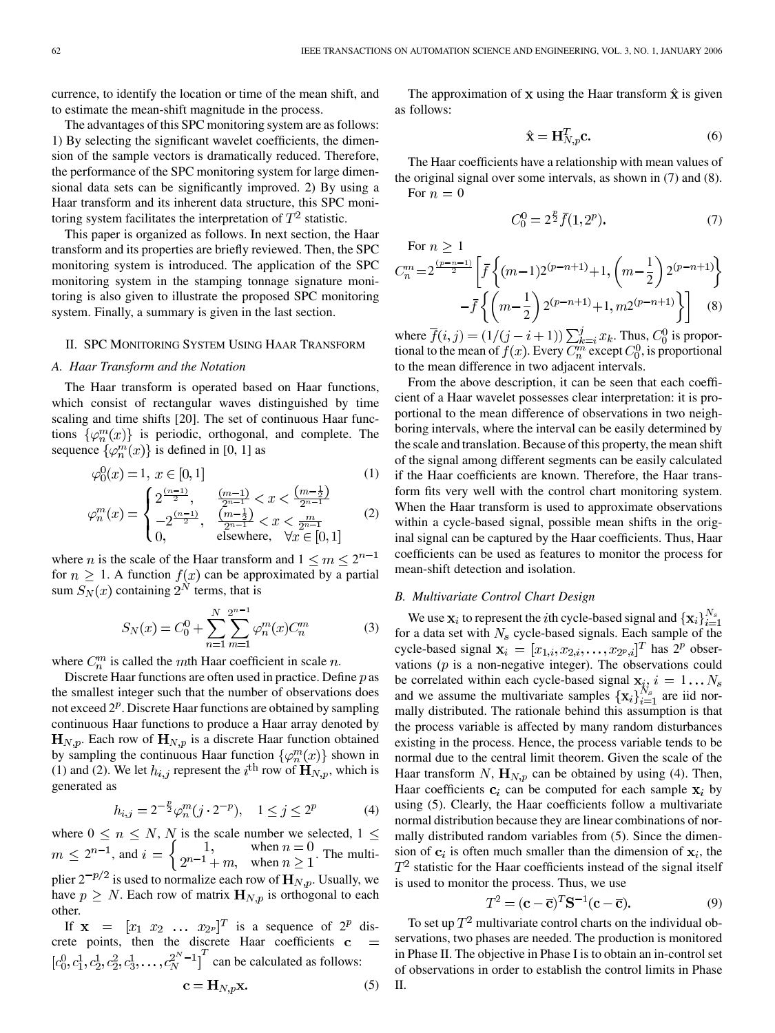currence, to identify the location or time of the mean shift, and to estimate the mean-shift magnitude in the process.

The advantages of this SPC monitoring system are as follows: 1) By selecting the significant wavelet coefficients, the dimension of the sample vectors is dramatically reduced. Therefore, the performance of the SPC monitoring system for large dimensional data sets can be significantly improved. 2) By using a Haar transform and its inherent data structure, this SPC monitoring system facilitates the interpretation of  $T^2$  statistic.

This paper is organized as follows. In next section, the Haar transform and its properties are briefly reviewed. Then, the SPC monitoring system is introduced. The application of the SPC monitoring system in the stamping tonnage signature monitoring is also given to illustrate the proposed SPC monitoring system. Finally, a summary is given in the last section.

#### II. SPC MONITORING SYSTEM USING HAAR TRANSFORM

#### *A. Haar Transform and the Notation*

The Haar transform is operated based on Haar functions, which consist of rectangular waves distinguished by time scaling and time shifts [\[20](#page-12-0)]. The set of continuous Haar functions  $\{\varphi_n^m(x)\}\$ is periodic, orthogonal, and complete. The sequence  $\{\varphi_n^m(x)\}\$ is defined in [0, 1] as

$$
\varphi_0^0(x) = 1, \ x \in [0, 1] \tag{1}
$$
\n
$$
\zeta_{-1}^{(n-1)} \qquad (m-1) \qquad (m-\frac{1}{2})
$$

$$
\varphi_n^m(x) = \begin{cases} 2^{\frac{(m-1)}{2}}, & \frac{(m-1)}{2^{n-1}} < x < \frac{(m-2)}{2^{n-1}}\\ -2^{\frac{(n-1)}{2}}, & \frac{(m-1)}{2^{n-1}} < x < \frac{m}{2^{n-1}}\\ 0, & \text{elsewhere, } \forall x \in [0, 1] \end{cases} (2)
$$

where *n* is the scale of the Haar transform and  $1 \le m \le 2^{n-1}$ for  $n \geq 1$ . A function  $f(x)$  can be approximated by a partial sum  $S_N(x)$  containing  $2^N$  terms, that is

$$
S_N(x) = C_0^0 + \sum_{n=1}^N \sum_{m=1}^{2^{n-1}} \varphi_n^m(x) C_n^m
$$
 (3)

where  $C_n^m$  is called the mth Haar coefficient in scale n.

Discrete Haar functions are often used in practice. Define  $p$  as the smallest integer such that the number of observations does not exceed  $2^p$ . Discrete Haar functions are obtained by sampling continuous Haar functions to produce a Haar array denoted by  $H_{N,p}$ . Each row of  $H_{N,p}$  is a discrete Haar function obtained by sampling the continuous Haar function  $\{\varphi_n^m(x)\}\$  shown in (1) and (2). We let  $h_{i,j}$  represent the  $i^{\text{th}}$  row of  $\mathbf{H}_{N,p}$ , which is generated as

$$
h_{i,j} = 2^{-\frac{p}{2}} \varphi_n^m(j \cdot 2^{-p}), \quad 1 \le j \le 2^p \tag{4}
$$

where  $0 \leq n \leq N$ , N is the scale number we selected, 1  $2^{n-1}$ , and  $i = \begin{cases} 1, & \text{when } n = 0 \\ 2^{n-1} + m, & \text{when } n \ge 1 \end{cases}$ . The multiplier  $2^{-p/2}$  is used to normalize each row of  $\mathbf{H}_{N,p}$ . Usually, we have  $p \geq N$ . Each row of matrix  $\mathbf{H}_{N,p}$  is orthogonal to each other.

If  $\mathbf{x} = [x_1 \ x_2 \ \dots \ x_{2^p}]^T$  is a sequence of  $2^p$  discrete points, then the discrete Haar coefficients  $\equiv$ [ $c_0^0, c_1^1, c_2^1, c_2^2, c_3^1, \ldots, c_N^{2^N-1}$ ]<sup>T</sup> can be calculated as follows:

$$
\mathbf{c} = \mathbf{H}_{N,p} \mathbf{x}.\tag{5}
$$

The approximation of  $x$  using the Haar transform  $\hat{x}$  is given as follows:

$$
\hat{\mathbf{x}} = \mathbf{H}_{N,p}^T \mathbf{c}.
$$
 (6)

The Haar coefficients have a relationship with mean values of the original signal over some intervals, as shown in (7) and (8). For  $n=0$ 

$$
C_0^0 = 2^{\frac{p}{2}} \bar{f}(1, 2^p). \tag{7}
$$

For  $n \geq 1$ 

$$
C_n^m = 2^{\frac{(p-n-1)}{2}} \left[ \bar{f} \left\{ (m-1) 2^{(p-n+1)} + 1, \left( m - \frac{1}{2} \right) 2^{(p-n+1)} \right\} - \bar{f} \left\{ \left( m - \frac{1}{2} \right) 2^{(p-n+1)} + 1, m 2^{(p-n+1)} \right\} \right] \tag{8}
$$

where  $f(i, j) = (1/(j - i + 1)) \sum_{k=i}^{j} x_k$ . Thus,  $C_0^{0}$  is proportional to the mean of  $f(x)$ . Every  $C_n^m$  except  $C_0^0$ , is proportional to the mean difference in two adjacent intervals.

From the above description, it can be seen that each coefficient of a Haar wavelet possesses clear interpretation: it is proportional to the mean difference of observations in two neighboring intervals, where the interval can be easily determined by the scale and translation. Because of this property, the mean shift of the signal among different segments can be easily calculated if the Haar coefficients are known. Therefore, the Haar transform fits very well with the control chart monitoring system. When the Haar transform is used to approximate observations within a cycle-based signal, possible mean shifts in the original signal can be captured by the Haar coefficients. Thus, Haar coefficients can be used as features to monitor the process for mean-shift detection and isolation.

## *B. Multivariate Control Chart Design*

We use  $x_i$  to represent the *i*th cycle-based signal and for a data set with  $N_s$  cycle-based signals. Each sample of the cycle-based signal  $\mathbf{x}_i = [x_{1,i}, x_{2,i}, \dots, x_{2^p,i}]^T$  has  $2^p$  observations ( $p$  is a non-negative integer). The observations could be correlated within each cycle-based signal  $x_i$ ,  $i = 1$ and we assume the multivariate samples  $\{x_i\}_{i=1}^{N_s}$  are iid normally distributed. The rationale behind this assumption is that the process variable is affected by many random disturbances existing in the process. Hence, the process variable tends to be normal due to the central limit theorem. Given the scale of the Haar transform N,  $\mathbf{H}_{N,p}$  can be obtained by using (4). Then, Haar coefficients  $c_i$  can be computed for each sample  $x_i$  by using (5). Clearly, the Haar coefficients follow a multivariate normal distribution because they are linear combinations of normally distributed random variables from (5). Since the dimension of  $c_i$  is often much smaller than the dimension of  $x_i$ , the  $T<sup>2</sup>$  statistic for the Haar coefficients instead of the signal itself is used to monitor the process. Thus, we use

$$
T^2 = (\mathbf{c} - \overline{\mathbf{c}})^T \mathbf{S}^{-1} (\mathbf{c} - \overline{\mathbf{c}}).
$$
 (9)

To set up  $T^2$  multivariate control charts on the individual observations, two phases are needed. The production is monitored in Phase II. The objective in Phase I is to obtain an in-control set of observations in order to establish the control limits in Phase II.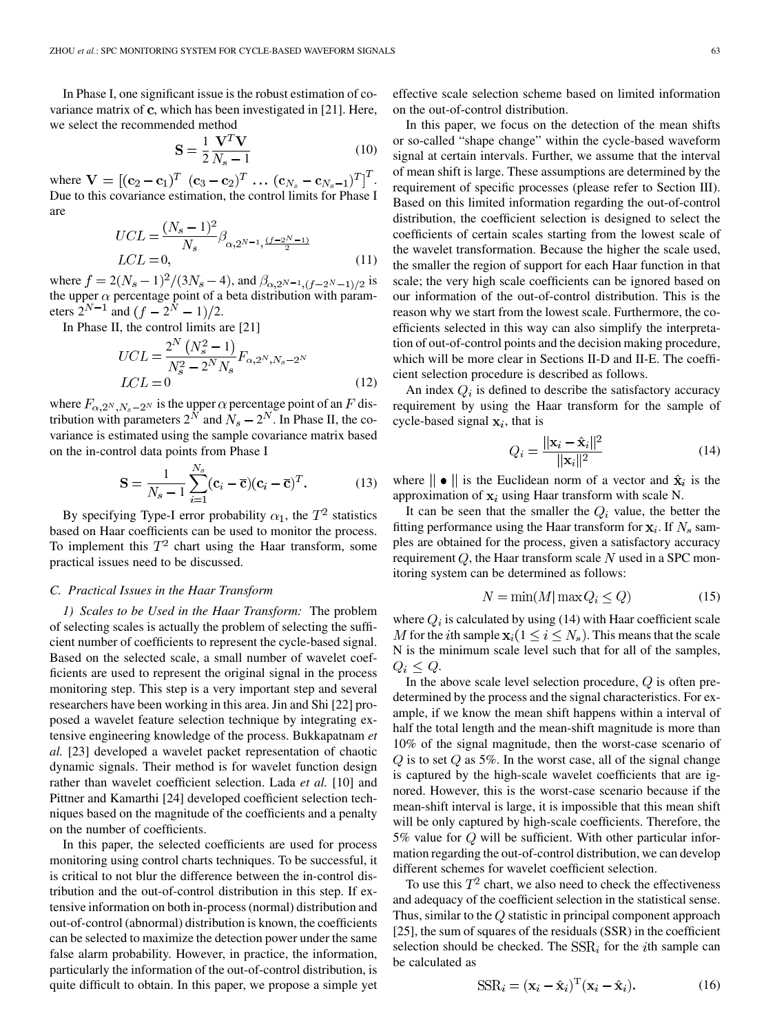In Phase I, one significant issue is the robust estimation of covariance matrix of **, which has been investigated in [\[21](#page-12-0)]. Here,** we select the recommended method

$$
\mathbf{S} = \frac{1}{2} \frac{\mathbf{V}^T \mathbf{V}}{N_s - 1} \tag{10}
$$

where  $V = [(\mathbf{c}_2 - \mathbf{c}_1)^T \ (\mathbf{c}_3 - \mathbf{c}_2)^T \ \dots \ (\mathbf{c}_{N_s} - \mathbf{c}_{N_s-1})^T]^T$ . Due to this covariance estimation, the control limits for Phase I are

$$
UCL = \frac{(N_s - 1)^2}{N_s} \beta_{\alpha, 2^{N-1}, \frac{(f - 2^N - 1)}{2}}
$$
  
 
$$
LCL = 0,
$$
 (11)

where  $f = 2(N_s - 1)^2/(3N_s - 4)$ , and  $\beta_{\alpha, 2^{N-1}, (f - 2^N - 1)/2}$  is the upper  $\alpha$  percentage point of a beta distribution with parameters  $2^{N-1}$  and  $(f - 2^N - 1)/2$ .

In Phase II, the control limits are [\[21](#page-12-0)]

$$
UCL = \frac{2^{N} (N_s^2 - 1)}{N_s^2 - 2^{N} N_s} F_{\alpha, 2^{N}, N_s - 2^{N}}
$$
  
 
$$
LCL = 0
$$
 (12)

where  $F_{\alpha, 2^N, N_s-2^N}$  is the upper  $\alpha$  percentage point of an F distribution with parameters  $2^{\hat{N}}$  and  $N_s - 2^{\hat{N}}$ . In Phase II, the covariance is estimated using the sample covariance matrix based on the in-control data points from Phase I

$$
\mathbf{S} = \frac{1}{N_s - 1} \sum_{i=1}^{N_s} (\mathbf{c}_i - \overline{\mathbf{c}})(\mathbf{c}_i - \overline{\mathbf{c}})^T.
$$
 (13)

By specifying Type-I error probability  $\alpha_1$ , the  $T^2$  statistics based on Haar coefficients can be used to monitor the process. To implement this  $T^2$  chart using the Haar transform, some practical issues need to be discussed.

#### *C. Practical Issues in the Haar Transform*

*1) Scales to be Used in the Haar Transform:* The problem of selecting scales is actually the problem of selecting the sufficient number of coefficients to represent the cycle-based signal. Based on the selected scale, a small number of wavelet coefficients are used to represent the original signal in the process monitoring step. This step is a very important step and several researchers have been working in this area. Jin and Shi [\[22](#page-12-0)] proposed a wavelet feature selection technique by integrating extensive engineering knowledge of the process. Bukkapatnam *et al.* [\[23](#page-12-0)] developed a wavelet packet representation of chaotic dynamic signals. Their method is for wavelet function design rather than wavelet coefficient selection. Lada *et al.* [[10\]](#page-12-0) and Pittner and Kamarthi [[24\]](#page-12-0) developed coefficient selection techniques based on the magnitude of the coefficients and a penalty on the number of coefficients.

In this paper, the selected coefficients are used for process monitoring using control charts techniques. To be successful, it is critical to not blur the difference between the in-control distribution and the out-of-control distribution in this step. If extensive information on both in-process (normal) distribution and out-of-control (abnormal) distribution is known, the coefficients can be selected to maximize the detection power under the same false alarm probability. However, in practice, the information, particularly the information of the out-of-control distribution, is quite difficult to obtain. In this paper, we propose a simple yet effective scale selection scheme based on limited information on the out-of-control distribution.

In this paper, we focus on the detection of the mean shifts or so-called "shape change" within the cycle-based waveform signal at certain intervals. Further, we assume that the interval of mean shift is large. These assumptions are determined by the requirement of specific processes (please refer to Section III). Based on this limited information regarding the out-of-control distribution, the coefficient selection is designed to select the coefficients of certain scales starting from the lowest scale of the wavelet transformation. Because the higher the scale used, the smaller the region of support for each Haar function in that scale; the very high scale coefficients can be ignored based on our information of the out-of-control distribution. This is the reason why we start from the lowest scale. Furthermore, the coefficients selected in this way can also simplify the interpretation of out-of-control points and the decision making procedure, which will be more clear in Sections II-D and II-E. The coefficient selection procedure is described as follows.

An index  $Q_i$  is defined to describe the satisfactory accuracy requirement by using the Haar transform for the sample of cycle-based signal  $x_i$ , that is

$$
Q_i = \frac{||\mathbf{x}_i - \hat{\mathbf{x}}_i||^2}{||\mathbf{x}_i||^2}
$$
(14)

where  $\|\bullet\|$  is the Euclidean norm of a vector and  $\hat{\mathbf{x}}_i$  is the approximation of  $x_i$  using Haar transform with scale N.

It can be seen that the smaller the  $Q_i$  value, the better the fitting performance using the Haar transform for  $x_i$ . If  $N_s$  samples are obtained for the process, given a satisfactory accuracy requirement  $Q$ , the Haar transform scale N used in a SPC monitoring system can be determined as follows:

$$
N = \min(M | \max Q_i \le Q) \tag{15}
$$

where  $Q_i$  is calculated by using (14) with Haar coefficient scale M for the *i*th sample  $\mathbf{x}_i (1 \le i \le N_s)$ . This means that the scale N is the minimum scale level such that for all of the samples,  $Q_i \leq Q$ .

In the above scale level selection procedure,  $Q$  is often predetermined by the process and the signal characteristics. For example, if we know the mean shift happens within a interval of half the total length and the mean-shift magnitude is more than 10% of the signal magnitude, then the worst-case scenario of  $Q$  is to set  $Q$  as 5%. In the worst case, all of the signal change is captured by the high-scale wavelet coefficients that are ignored. However, this is the worst-case scenario because if the mean-shift interval is large, it is impossible that this mean shift will be only captured by high-scale coefficients. Therefore, the 5% value for  $Q$  will be sufficient. With other particular information regarding the out-of-control distribution, we can develop different schemes for wavelet coefficient selection.

To use this  $T^2$  chart, we also need to check the effectiveness and adequacy of the coefficient selection in the statistical sense. Thus, similar to the  $Q$  statistic in principal component approach [\[25](#page-12-0)], the sum of squares of the residuals (SSR) in the coefficient selection should be checked. The  $SSR_i$  for the *i*th sample can be calculated as

$$
SSR_i = (\mathbf{x}_i - \hat{\mathbf{x}}_i)^{\mathrm{T}} (\mathbf{x}_i - \hat{\mathbf{x}}_i).
$$
 (16)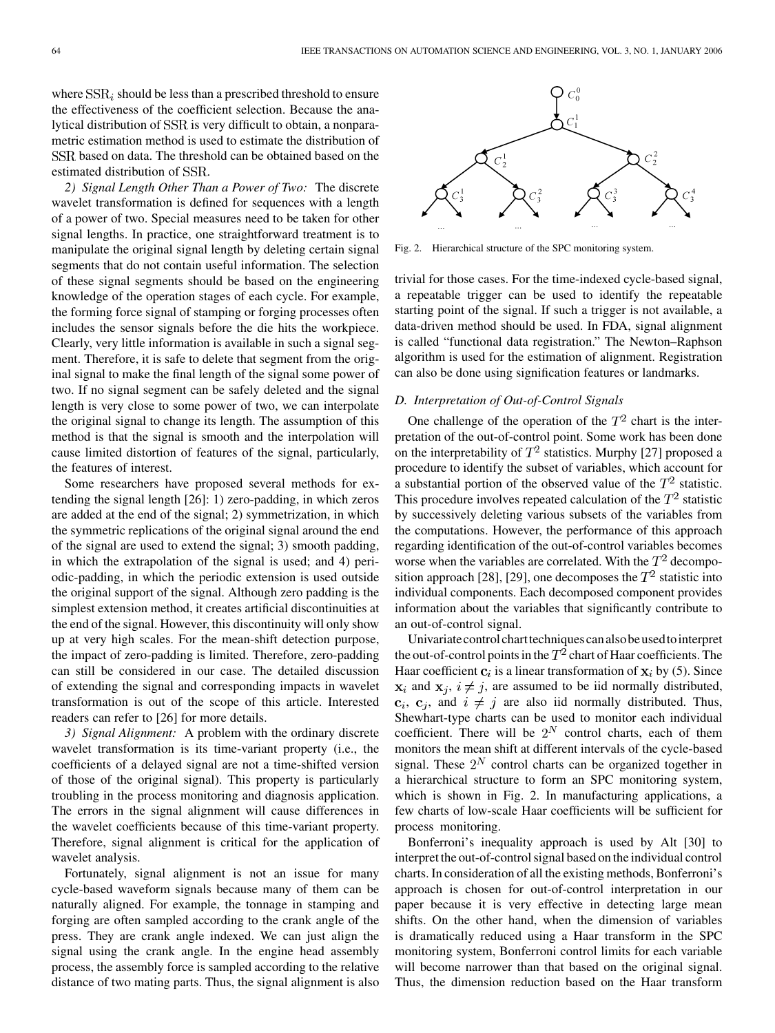where  $SSR_i$  should be less than a prescribed threshold to ensure the effectiveness of the coefficient selection. Because the analytical distribution of SSR is very difficult to obtain, a nonparametric estimation method is used to estimate the distribution of SSR based on data. The threshold can be obtained based on the estimated distribution of SSR.

*2) Signal Length Other Than a Power of Two:* The discrete wavelet transformation is defined for sequences with a length of a power of two. Special measures need to be taken for other signal lengths. In practice, one straightforward treatment is to manipulate the original signal length by deleting certain signal segments that do not contain useful information. The selection of these signal segments should be based on the engineering knowledge of the operation stages of each cycle. For example, the forming force signal of stamping or forging processes often includes the sensor signals before the die hits the workpiece. Clearly, very little information is available in such a signal segment. Therefore, it is safe to delete that segment from the original signal to make the final length of the signal some power of two. If no signal segment can be safely deleted and the signal length is very close to some power of two, we can interpolate the original signal to change its length. The assumption of this method is that the signal is smooth and the interpolation will cause limited distortion of features of the signal, particularly, the features of interest.

Some researchers have proposed several methods for extending the signal length [[26\]](#page-12-0): 1) zero-padding, in which zeros are added at the end of the signal; 2) symmetrization, in which the symmetric replications of the original signal around the end of the signal are used to extend the signal; 3) smooth padding, in which the extrapolation of the signal is used; and 4) periodic-padding, in which the periodic extension is used outside the original support of the signal. Although zero padding is the simplest extension method, it creates artificial discontinuities at the end of the signal. However, this discontinuity will only show up at very high scales. For the mean-shift detection purpose, the impact of zero-padding is limited. Therefore, zero-padding can still be considered in our case. The detailed discussion of extending the signal and corresponding impacts in wavelet transformation is out of the scope of this article. Interested readers can refer to [[26\]](#page-12-0) for more details.

*3) Signal Alignment:* A problem with the ordinary discrete wavelet transformation is its time-variant property (i.e., the coefficients of a delayed signal are not a time-shifted version of those of the original signal). This property is particularly troubling in the process monitoring and diagnosis application. The errors in the signal alignment will cause differences in the wavelet coefficients because of this time-variant property. Therefore, signal alignment is critical for the application of wavelet analysis.

Fortunately, signal alignment is not an issue for many cycle-based waveform signals because many of them can be naturally aligned. For example, the tonnage in stamping and forging are often sampled according to the crank angle of the press. They are crank angle indexed. We can just align the signal using the crank angle. In the engine head assembly process, the assembly force is sampled according to the relative distance of two mating parts. Thus, the signal alignment is also



Fig. 2. Hierarchical structure of the SPC monitoring system.

trivial for those cases. For the time-indexed cycle-based signal, a repeatable trigger can be used to identify the repeatable starting point of the signal. If such a trigger is not available, a data-driven method should be used. In FDA, signal alignment is called "functional data registration." The Newton–Raphson algorithm is used for the estimation of alignment. Registration can also be done using signification features or landmarks.

# *D. Interpretation of Out-of-Control Signals*

One challenge of the operation of the  $T^2$  chart is the interpretation of the out-of-control point. Some work has been done on the interpretability of  $T^2$  statistics. Murphy [\[27](#page-12-0)] proposed a procedure to identify the subset of variables, which account for a substantial portion of the observed value of the  $T^2$  statistic. This procedure involves repeated calculation of the  $T<sup>2</sup>$  statistic by successively deleting various subsets of the variables from the computations. However, the performance of this approach regarding identification of the out-of-control variables becomes worse when the variables are correlated. With the  $T<sup>2</sup>$  decompo-sition approach [\[28](#page-12-0)], [[29\]](#page-12-0), one decomposes the  $T^2$  statistic into individual components. Each decomposed component provides information about the variables that significantly contribute to an out-of-control signal.

Univariate control chart techniques can also be used to interpret the out-of-control points in the  $T^2$  chart of Haar coefficients. The Haar coefficient  $c_i$  is a linear transformation of  $x_i$  by (5). Since  $x_i$  and  $x_j$ ,  $i \neq j$ , are assumed to be iid normally distributed,  $c_i$ ,  $c_j$ , and  $i \neq j$  are also iid normally distributed. Thus, Shewhart-type charts can be used to monitor each individual coefficient. There will be  $2^N$  control charts, each of them monitors the mean shift at different intervals of the cycle-based signal. These  $2^N$  control charts can be organized together in a hierarchical structure to form an SPC monitoring system, which is shown in Fig. 2. In manufacturing applications, a few charts of low-scale Haar coefficients will be sufficient for process monitoring.

Bonferroni's inequality approach is used by Alt [\[30](#page-12-0)] to interpret the out-of-control signal based on the individual control charts. In consideration of all the existing methods, Bonferroni's approach is chosen for out-of-control interpretation in our paper because it is very effective in detecting large mean shifts. On the other hand, when the dimension of variables is dramatically reduced using a Haar transform in the SPC monitoring system, Bonferroni control limits for each variable will become narrower than that based on the original signal. Thus, the dimension reduction based on the Haar transform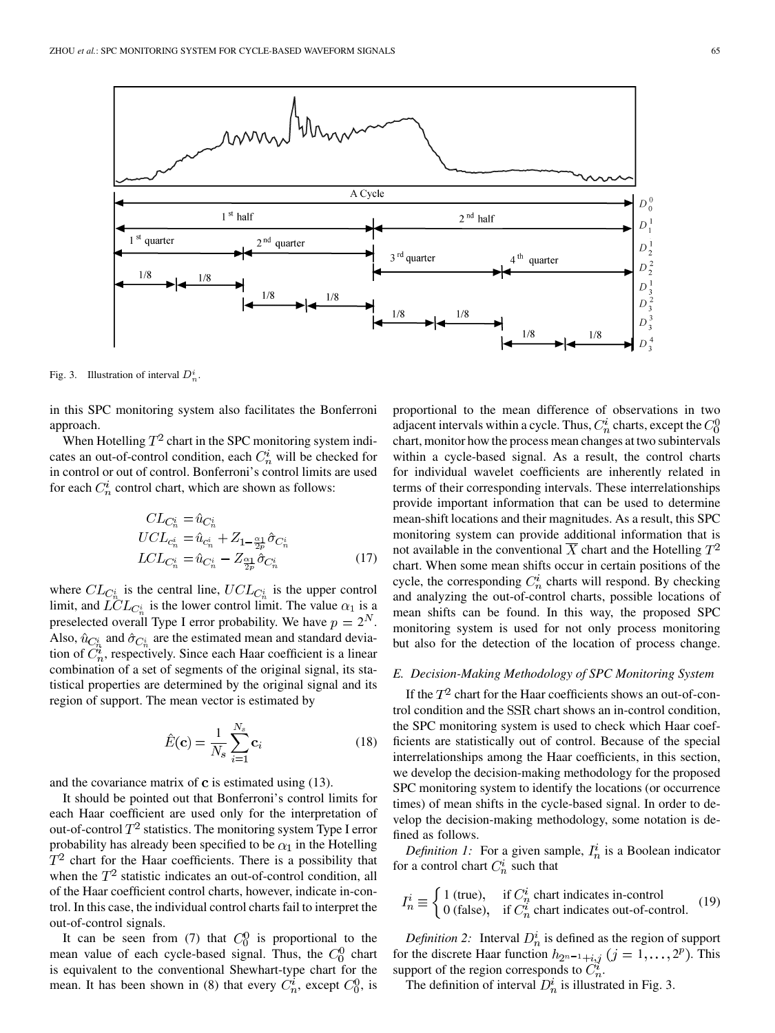

Fig. 3. Illustration of interval  $D_n^i$ .

in this SPC monitoring system also facilitates the Bonferroni approach.

When Hotelling  $T^2$  chart in the SPC monitoring system indicates an out-of-control condition, each  $C_n^i$  will be checked for in control or out of control. Bonferroni's control limits are used for each  $C_n^i$  control chart, which are shown as follows:

$$
CL_{C_n^i} = \hat{u}_{C_n^i}
$$
  
\n
$$
UCL_{c_n^i} = \hat{u}_{c_n^i} + Z_{1 - \frac{\alpha_1}{2p}} \hat{\sigma}_{C_n^i}
$$
  
\n
$$
LCL_{C_n^i} = \hat{u}_{C_n^i} - Z_{\frac{\alpha_1}{2p}} \hat{\sigma}_{C_n^i}
$$
 (17)

where  $CL_{C_n^i}$  is the central line,  $UCL_{C_n^i}$  is the upper control limit, and  $\hat{LCL}_{C_n}$  is the lower control limit. The value  $\alpha_1$  is a preselected overall Type I error probability. We have  $p = 2^N$ . Also,  $\hat{u}_{\mathbf{C}^i}$  and  $\hat{\sigma}_{\mathbf{C}^i}$  are the estimated mean and standard deviation of  $C_n^i$ , respectively. Since each Haar coefficient is a linear combination of a set of segments of the original signal, its statistical properties are determined by the original signal and its region of support. The mean vector is estimated by

$$
\hat{E}(\mathbf{c}) = \frac{1}{N_s} \sum_{i=1}^{N_s} \mathbf{c}_i
$$
\n(18)

and the covariance matrix of  $\bf{c}$  is estimated using (13).

It should be pointed out that Bonferroni's control limits for each Haar coefficient are used only for the interpretation of out-of-control  $T^2$  statistics. The monitoring system Type I error probability has already been specified to be  $\alpha_1$  in the Hotelling  $T<sup>2</sup>$  chart for the Haar coefficients. There is a possibility that when the  $T<sup>2</sup>$  statistic indicates an out-of-control condition, all of the Haar coefficient control charts, however, indicate in-control. In this case, the individual control charts fail to interpret the out-of-control signals.

It can be seen from (7) that  $C_0^0$  is proportional to the mean value of each cycle-based signal. Thus, the  $C_0^0$  chart is equivalent to the conventional Shewhart-type chart for the mean. It has been shown in (8) that every  $C_n^i$ , except  $C_0^0$ , is

proportional to the mean difference of observations in two adjacent intervals within a cycle. Thus,  $C_n^i$  charts, except the  $C_0^0$ chart, monitor how the process mean changes at two subintervals within a cycle-based signal. As a result, the control charts for individual wavelet coefficients are inherently related in terms of their corresponding intervals. These interrelationships provide important information that can be used to determine mean-shift locations and their magnitudes. As a result, this SPC monitoring system can provide additional information that is not available in the conventional  $\overline{X}$  chart and the Hotelling  $T^2$ chart. When some mean shifts occur in certain positions of the cycle, the corresponding  $C_n^i$  charts will respond. By checking and analyzing the out-of-control charts, possible locations of mean shifts can be found. In this way, the proposed SPC monitoring system is used for not only process monitoring but also for the detection of the location of process change.

# *E. Decision-Making Methodology of SPC Monitoring System*

If the  $T<sup>2</sup>$  chart for the Haar coefficients shows an out-of-control condition and the SSR chart shows an in-control condition, the SPC monitoring system is used to check which Haar coefficients are statistically out of control. Because of the special interrelationships among the Haar coefficients, in this section, we develop the decision-making methodology for the proposed SPC monitoring system to identify the locations (or occurrence times) of mean shifts in the cycle-based signal. In order to develop the decision-making methodology, some notation is defined as follows.

*Definition 1:* For a given sample,  $I_n^i$  is a Boolean indicator for a control chart  $C_n^i$  such that

$$
I_n^i \equiv \begin{cases} 1 \text{ (true)}, & \text{if } C_n^i \text{ chart indicates in-control} \\ 0 \text{ (false)}, & \text{if } C_n^i \text{ chart indicates out-of-control.} \end{cases} \tag{19}
$$

*Definition 2:* Interval  $D_n^i$  is defined as the region of support for the discrete Haar function  $h_{2^{n-1}+i,j}$   $(j = 1, ..., 2^p)$ . This support of the region corresponds to  $C_n^i$ .

The definition of interval  $D_n^i$  is illustrated in Fig. 3.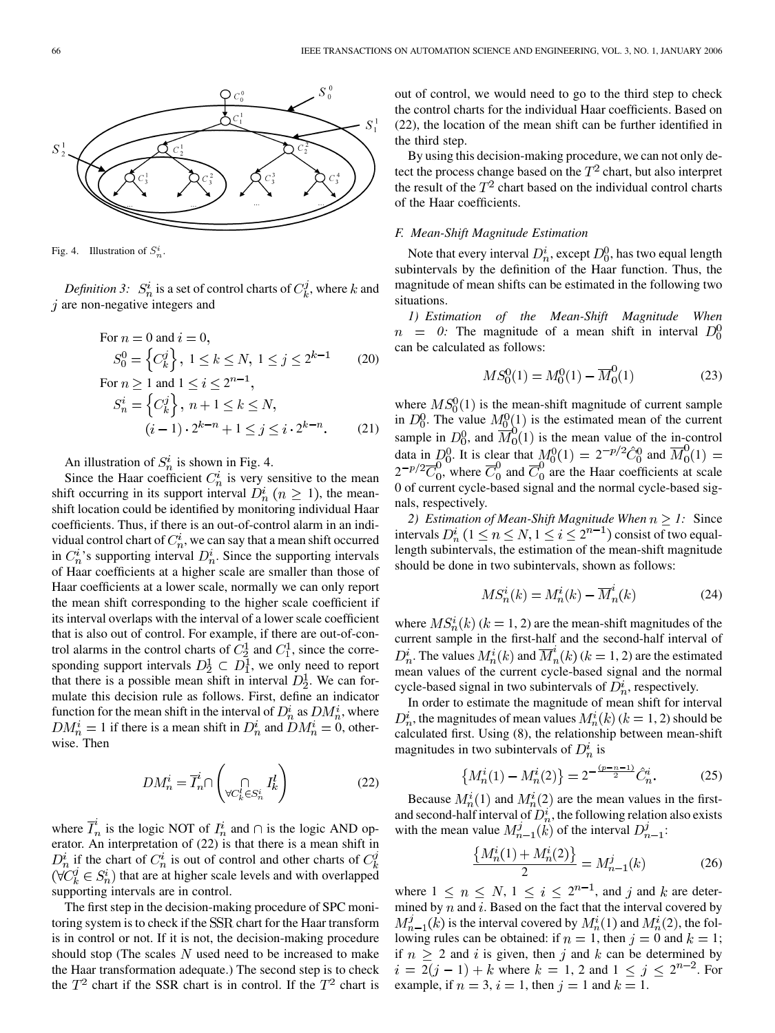

Fig. 4. Illustration of  $S_n^i$ .

*Definition 3:*  $S_n^i$  is a set of control charts of  $C_k^j$ , where k and  $j$  are non-negative integers and

For 
$$
n = 0
$$
 and  $i = 0$ ,  
\n
$$
S_0^0 = \left\{ C_k^j \right\}, 1 \le k \le N, 1 \le j \le 2^{k-1}
$$
\n(20)

For 
$$
n \ge 1
$$
 and  $1 \le i \le 2^{n-1}$ ,  
\n
$$
S_n^i = \left\{ C_k^j \right\}, \ n+1 \le k \le N,
$$
\n
$$
(i-1) \cdot 2^{k-n} + 1 \le j \le i \cdot 2^{k-n}.
$$
\n(21)

An illustration of  $S_n^i$  is shown in Fig. 4.

Since the Haar coefficient  $C_n^i$  is very sensitive to the mean shift occurring in its support interval  $D_n^i$   $(n \geq 1)$ , the meanshift location could be identified by monitoring individual Haar coefficients. Thus, if there is an out-of-control alarm in an individual control chart of  $C_n^i$ , we can say that a mean shift occurred in  $C_n^i$ 's supporting interval  $D_n^i$ . Since the supporting intervals of Haar coefficients at a higher scale are smaller than those of Haar coefficients at a lower scale, normally we can only report the mean shift corresponding to the higher scale coefficient if its interval overlaps with the interval of a lower scale coefficient that is also out of control. For example, if there are out-of-control alarms in the control charts of  $C_2^1$  and  $C_1^1$ , since the corresponding support intervals  $D_2^1 \subset D_1^1$ , we only need to report that there is a possible mean shift in interval  $D_2^1$ . We can formulate this decision rule as follows. First, define an indicator function for the mean shift in the interval of  $D_n^i$  as  $DM_n^i$ , where  $DM_n^i = 1$  if there is a mean shift in  $D_n^i$  and  $DM_n^i = 0$ , otherwise. Then

$$
DM_n^i = \overline{I}_n^i \cap \left( \bigcap_{\forall C_k^l \in S_n^i} I_k^l \right) \tag{22}
$$

where  $\overline{I}_n^i$  is the logic NOT of  $I_n^i$  and  $\cap$  is the logic AND operator. An interpretation of (22) is that there is a mean shift in  $D_n^i$  if the chart of  $C_n^i$  is out of control and other charts of  $C_k^j$  $(\forall C_k^j \in S_n^i)$  that are at higher scale levels and with overlapped supporting intervals are in control.

The first step in the decision-making procedure of SPC monitoring system is to check if the SSR chart for the Haar transform is in control or not. If it is not, the decision-making procedure should stop (The scales  $N$  used need to be increased to make the Haar transformation adequate.) The second step is to check the  $T^2$  chart if the SSR chart is in control. If the  $T^2$  chart is out of control, we would need to go to the third step to check the control charts for the individual Haar coefficients. Based on (22), the location of the mean shift can be further identified in the third step.

By using this decision-making procedure, we can not only detect the process change based on the  $T^2$  chart, but also interpret the result of the  $T^2$  chart based on the individual control charts of the Haar coefficients.

#### *F. Mean-Shift Magnitude Estimation*

Note that every interval  $D_n^i$ , except  $D_0^0$ , has two equal length subintervals by the definition of the Haar function. Thus, the magnitude of mean shifts can be estimated in the following two situations.

*1) Estimation of the Mean-Shift Magnitude When*  $n = 0$ : The magnitude of a mean shift in interval  $D_0^0$ can be calculated as follows:

$$
MS_0^0(1) = M_0^0(1) - \overline{M}_0^0(1)
$$
 (23)

where  $MS_0^0(1)$  is the mean-shift magnitude of current sample in  $D_0^0$ . The value  $M_0^0(1)$  is the estimated mean of the current sample in  $D_0^0$ , and  $\overline{M}_0^0(1)$  is the mean value of the in-control data in  $D_0^0$ . It is clear that  $M_0^0(1) = 2^{-p/2} \hat{C}_0^0$  and  $\overline{M}_0^0(1) =$  $2^{-p/2}\overline{C}_0^0$ , where  $\overline{C}_0^0$  and  $\overline{C}_0^0$  are the Haar coefficients at scale 0 of current cycle-based signal and the normal cycle-based signals, respectively.

2) *Estimation of Mean-Shift Magnitude When*  $n \geq 1$ : Since intervals  $D_n^i$   $(1 \le n \le N, 1 \le i \le 2^{n-1})$  consist of two equallength subintervals, the estimation of the mean-shift magnitude should be done in two subintervals, shown as follows:

$$
MS_n^i(k) = M_n^i(k) - \overline{M}_n^i(k)
$$
 (24)

where  $MS_n^i(k)$  ( $k = 1, 2$ ) are the mean-shift magnitudes of the current sample in the first-half and the second-half interval of  $D_n^i$ . The values  $M_n^i(k)$  and  $\overline{M}_n^i(k)$  ( $k = 1, 2$ ) are the estimated mean values of the current cycle-based signal and the normal cycle-based signal in two subintervals of  $D_n^i$ , respectively.

In order to estimate the magnitude of mean shift for interval  $D_n^i$ , the magnitudes of mean values  $M_n^i(k)$  ( $k = 1, 2$ ) should be calculated first. Using (8), the relationship between mean-shift magnitudes in two subintervals of  $D_n^i$  is

$$
\left\{ M_n^i(1) - M_n^i(2) \right\} = 2^{-\frac{(p-n-1)}{2}} \hat{C}_n^i.
$$
 (25)

Because  $M_n^i(1)$  and  $M_n^i(2)$  are the mean values in the firstand second-half interval of  $D_n^i$ , the following relation also exists with the mean value  $M_{n-1}^{j}(k)$  of the interval  $D_{n-1}^{j}$ :

$$
\frac{\{M_n^i(1) + M_n^i(2)\}}{2} = M_{n-1}^j(k) \tag{26}
$$

where  $1 \leq n \leq N, 1 \leq i \leq 2^{n-1}$ , and j and k are determined by  $n$  and  $i$ . Based on the fact that the interval covered by  $M_{n-1}^j(k)$  is the interval covered by  $M_n^i(1)$  and  $M_n^i(2)$ , the following rules can be obtained: if  $n = 1$ , then  $j = 0$  and  $k = 1$ ; if  $n \geq 2$  and i is given, then j and k can be determined by  $i = 2(j - 1) + k$  where  $k = 1, 2$  and  $1 \le j \le 2^{n-2}$ . For example, if  $n = 3$ ,  $i = 1$ , then  $j = 1$  and  $k = 1$ .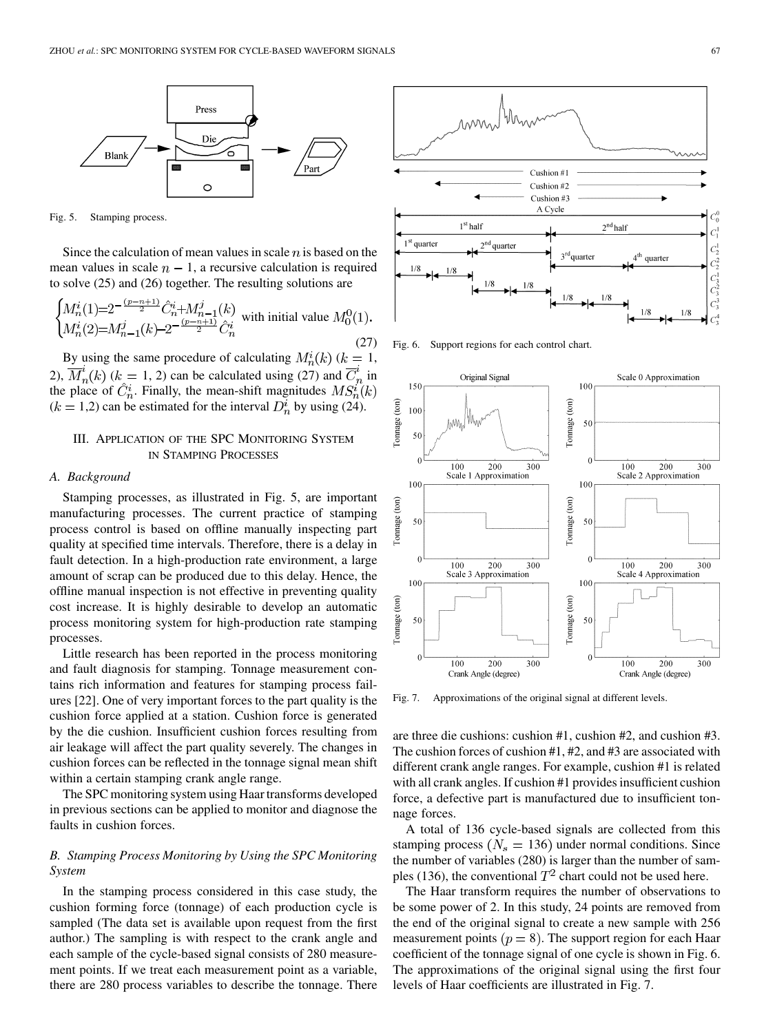

Fig. 5. Stamping process.

Since the calculation of mean values in scale  $n$  is based on the mean values in scale  $n - 1$ , a recursive calculation is required to solve (25) and (26) together. The resulting solutions are

$$
\begin{cases} M_n^i(1) = 2^{-\frac{(p-n+1)}{2}} \hat{C}_n^i + M_{n-1}^j(k) & \text{with initial value } M_0^0(1). \\ M_n^i(2) = M_{n-1}^j(k) - 2^{-\frac{(p-n+1)}{2}} \hat{C}_n^i & \end{cases} \tag{27}
$$

By using the same procedure of calculating  $M_n^i(k)$  ( $k = 1$ , 2),  $M_n(k)$  ( $k = 1, 2$ ) can be calculated using (27) and  $C_n$  in the place of  $C_n^i$ . Finally, the mean-shift magnitudes  $(k = 1,2)$  can be estimated for the interval  $D_n^i$  by using (24).

# III. APPLICATION OF THE SPC MONITORING SYSTEM IN STAMPING PROCESSES

#### *A. Background*

Stamping processes, as illustrated in Fig. 5, are important manufacturing processes. The current practice of stamping process control is based on offline manually inspecting part quality at specified time intervals. Therefore, there is a delay in fault detection. In a high-production rate environment, a large amount of scrap can be produced due to this delay. Hence, the offline manual inspection is not effective in preventing quality cost increase. It is highly desirable to develop an automatic process monitoring system for high-production rate stamping processes.

Little research has been reported in the process monitoring and fault diagnosis for stamping. Tonnage measurement contains rich information and features for stamping process failures [\[22](#page-12-0)]. One of very important forces to the part quality is the cushion force applied at a station. Cushion force is generated by the die cushion. Insufficient cushion forces resulting from air leakage will affect the part quality severely. The changes in cushion forces can be reflected in the tonnage signal mean shift within a certain stamping crank angle range.

The SPC monitoring system using Haar transforms developed in previous sections can be applied to monitor and diagnose the faults in cushion forces.

# *B. Stamping Process Monitoring by Using the SPC Monitoring System*

In the stamping process considered in this case study, the cushion forming force (tonnage) of each production cycle is sampled (The data set is available upon request from the first author.) The sampling is with respect to the crank angle and each sample of the cycle-based signal consists of 280 measurement points. If we treat each measurement point as a variable, there are 280 process variables to describe the tonnage. There



Fig. 6. Support regions for each control chart.



Fig. 7. Approximations of the original signal at different levels.

are three die cushions: cushion #1, cushion #2, and cushion #3. The cushion forces of cushion #1, #2, and #3 are associated with different crank angle ranges. For example, cushion #1 is related with all crank angles. If cushion #1 provides insufficient cushion force, a defective part is manufactured due to insufficient tonnage forces.

A total of 136 cycle-based signals are collected from this stamping process ( $N_s = 136$ ) under normal conditions. Since the number of variables (280) is larger than the number of samples (136), the conventional  $T^2$  chart could not be used here.

The Haar transform requires the number of observations to be some power of 2. In this study, 24 points are removed from the end of the original signal to create a new sample with 256 measurement points ( $p = 8$ ). The support region for each Haar coefficient of the tonnage signal of one cycle is shown in Fig. 6. The approximations of the original signal using the first four levels of Haar coefficients are illustrated in Fig. 7.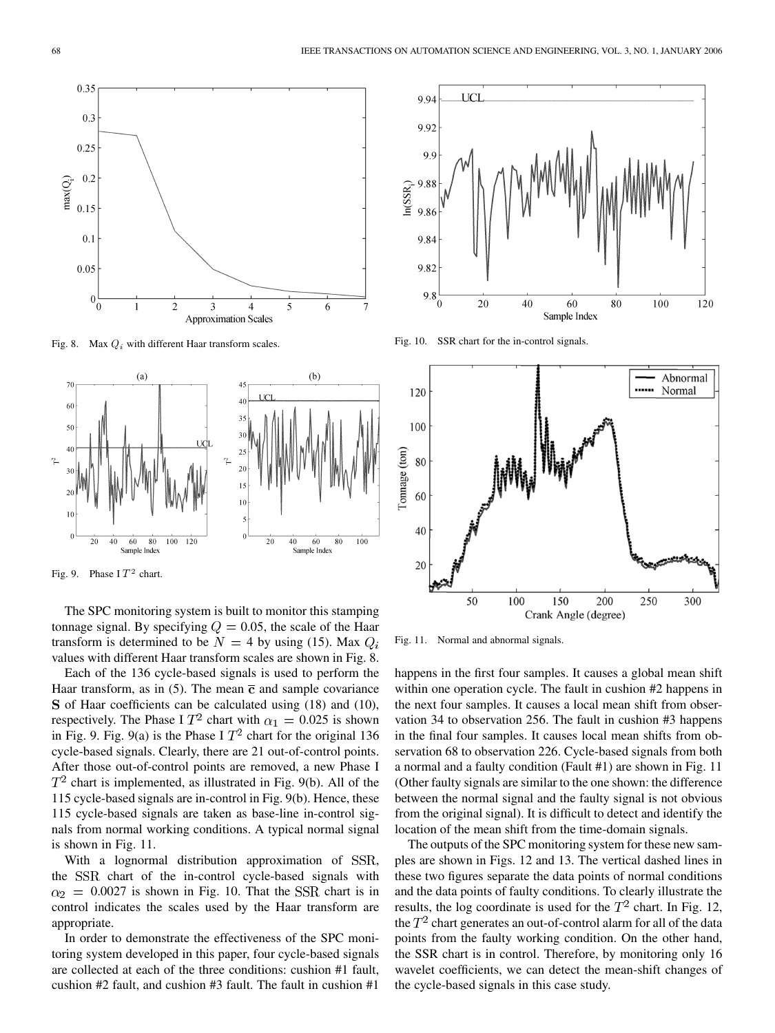

Fig. 8. Max  $Q_i$  with different Haar transform scales.



Fig. 9. Phase I  $T^2$  chart.

The SPC monitoring system is built to monitor this stamping tonnage signal. By specifying  $Q = 0.05$ , the scale of the Haar transform is determined to be  $N = 4$  by using (15). Max  $Q_i$ values with different Haar transform scales are shown in Fig. 8.

Each of the 136 cycle-based signals is used to perform the Haar transform, as in (5). The mean  $\bar{c}$  and sample covariance S of Haar coefficients can be calculated using (18) and (10), respectively. The Phase I  $T^2$  chart with  $\alpha_1 = 0.025$  is shown in Fig. 9. Fig. 9(a) is the Phase I  $T^2$  chart for the original 136 cycle-based signals. Clearly, there are 21 out-of-control points. After those out-of-control points are removed, a new Phase I  $T<sup>2</sup>$  chart is implemented, as illustrated in Fig. 9(b). All of the 115 cycle-based signals are in-control in Fig. 9(b). Hence, these 115 cycle-based signals are taken as base-line in-control signals from normal working conditions. A typical normal signal is shown in Fig. 11.

With a lognormal distribution approximation of SSR, the SSR chart of the in-control cycle-based signals with  $\alpha_2$  = 0.0027 is shown in Fig. 10. That the SSR chart is in control indicates the scales used by the Haar transform are appropriate.

In order to demonstrate the effectiveness of the SPC monitoring system developed in this paper, four cycle-based signals are collected at each of the three conditions: cushion #1 fault, cushion #2 fault, and cushion #3 fault. The fault in cushion #1



Fig. 10. SSR chart for the in-control signals.



Fig. 11. Normal and abnormal signals.

happens in the first four samples. It causes a global mean shift within one operation cycle. The fault in cushion #2 happens in the next four samples. It causes a local mean shift from observation 34 to observation 256. The fault in cushion #3 happens in the final four samples. It causes local mean shifts from observation 68 to observation 226. Cycle-based signals from both a normal and a faulty condition (Fault #1) are shown in Fig. 11 (Other faulty signals are similar to the one shown: the difference between the normal signal and the faulty signal is not obvious from the original signal). It is difficult to detect and identify the location of the mean shift from the time-domain signals.

The outputs of the SPC monitoring system for these new samples are shown in Figs. 12 and 13. The vertical dashed lines in these two figures separate the data points of normal conditions and the data points of faulty conditions. To clearly illustrate the results, the log coordinate is used for the  $T^2$  chart. In Fig. 12, the  $T^2$  chart generates an out-of-control alarm for all of the data points from the faulty working condition. On the other hand, the SSR chart is in control. Therefore, by monitoring only 16 wavelet coefficients, we can detect the mean-shift changes of the cycle-based signals in this case study.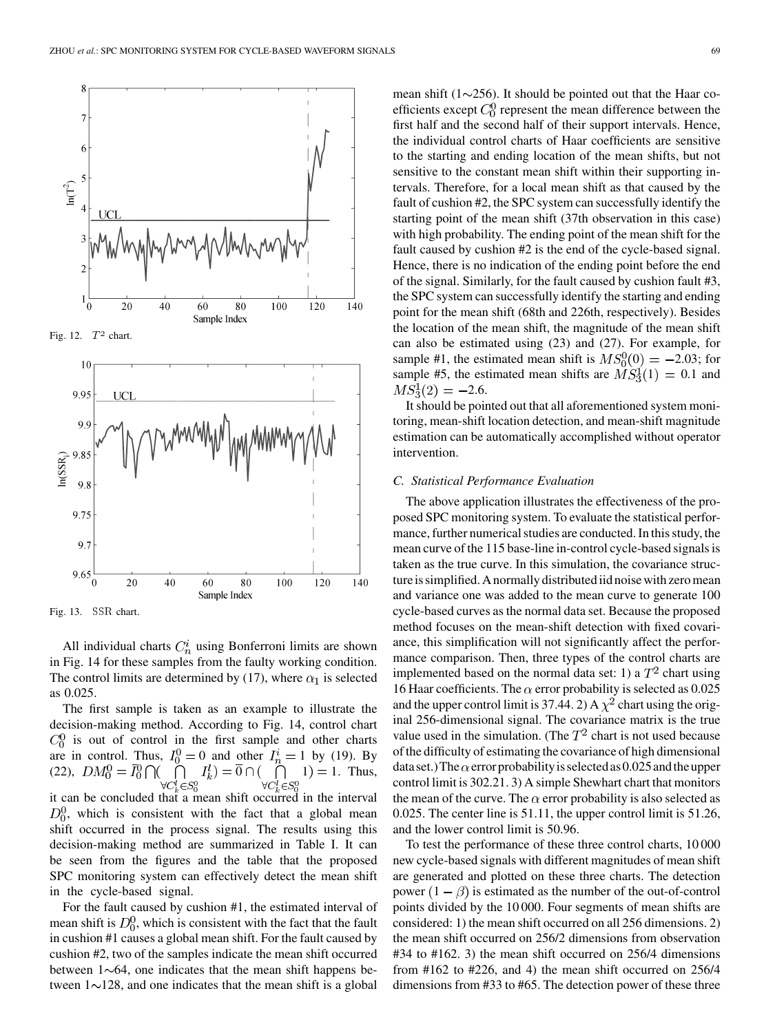

Fig. 12.  $T^2$  chart.



Fig. 13. SSR chart.

All individual charts  $C_n^i$  using Bonferroni limits are shown in Fig. 14 for these samples from the faulty working condition. The control limits are determined by (17), where  $\alpha_1$  is selected as 0.025.

The first sample is taken as an example to illustrate the decision-making method. According to Fig. 14, control chart  $C_0^0$  is out of control in the first sample and other charts are in control. Thus,  $I_0^0 = 0$  and other  $I_n^i = 1$  by (19). By (22),  $DM_0^0 = I_0^0 \cap (0 \cap I_k^l) = 0 \cap (0 \cap 1) = 1$ . Thus, it can be concluded that a mean shift occurred in the interval

 $D_0^0$ , which is consistent with the fact that a global mean shift occurred in the process signal. The results using this decision-making method are summarized in Table I. It can be seen from the figures and the table that the proposed SPC monitoring system can effectively detect the mean shift in the cycle-based signal.

For the fault caused by cushion #1, the estimated interval of mean shift is  $D_0^0$ , which is consistent with the fact that the fault in cushion #1 causes a global mean shift. For the fault caused by cushion #2, two of the samples indicate the mean shift occurred between  $1 \sim 64$ , one indicates that the mean shift happens between  $1 \sim 128$ , and one indicates that the mean shift is a global mean shift ( $1 \sim 256$ ). It should be pointed out that the Haar coefficients except  $C_0^0$  represent the mean difference between the first half and the second half of their support intervals. Hence, the individual control charts of Haar coefficients are sensitive to the starting and ending location of the mean shifts, but not sensitive to the constant mean shift within their supporting intervals. Therefore, for a local mean shift as that caused by the fault of cushion #2, the SPC system can successfully identify the starting point of the mean shift (37th observation in this case) with high probability. The ending point of the mean shift for the fault caused by cushion #2 is the end of the cycle-based signal. Hence, there is no indication of the ending point before the end of the signal. Similarly, for the fault caused by cushion fault #3, the SPC system can successfully identify the starting and ending point for the mean shift (68th and 226th, respectively). Besides the location of the mean shift, the magnitude of the mean shift can also be estimated using (23) and (27). For example, for sample #1, the estimated mean shift is  $MS_0^0(0) = -2.03$ ; for sample #5, the estimated mean shifts are  $MS_3^1(1) = 0.1$  and  $MS_3^1(2) = -2.6$ .

It should be pointed out that all aforementioned system monitoring, mean-shift location detection, and mean-shift magnitude estimation can be automatically accomplished without operator intervention.

## *C. Statistical Performance Evaluation*

The above application illustrates the effectiveness of the proposed SPC monitoring system. To evaluate the statistical performance, further numerical studies are conducted. In this study, the mean curve of the 115 base-line in-control cycle-based signals is taken as the true curve. In this simulation, the covariance structure is simplified. A normally distributed iid noise with zero mean and variance one was added to the mean curve to generate 100 cycle-based curves as the normal data set. Because the proposed method focuses on the mean-shift detection with fixed covariance, this simplification will not significantly affect the performance comparison. Then, three types of the control charts are implemented based on the normal data set: 1) a  $T^2$  chart using 16 Haar coefficients. The  $\alpha$  error probability is selected as 0.025 and the upper control limit is 37.44. 2) A  $\chi^2$  chart using the original 256-dimensional signal. The covariance matrix is the true value used in the simulation. (The  $T^2$  chart is not used because of the difficulty of estimating the covariance of high dimensional data set.) The  $\alpha$  error probability is selected as 0.025 and the upper control limit is 302.21. 3) A simple Shewhart chart that monitors the mean of the curve. The  $\alpha$  error probability is also selected as 0.025. The center line is 51.11, the upper control limit is 51.26, and the lower control limit is 50.96.

To test the performance of these three control charts, 10 000 new cycle-based signals with different magnitudes of mean shift are generated and plotted on these three charts. The detection power  $(1 - \beta)$  is estimated as the number of the out-of-control points divided by the 10 000. Four segments of mean shifts are considered: 1) the mean shift occurred on all 256 dimensions. 2) the mean shift occurred on 256/2 dimensions from observation #34 to #162. 3) the mean shift occurred on 256/4 dimensions from #162 to #226, and 4) the mean shift occurred on 256/4 dimensions from #33 to #65. The detection power of these three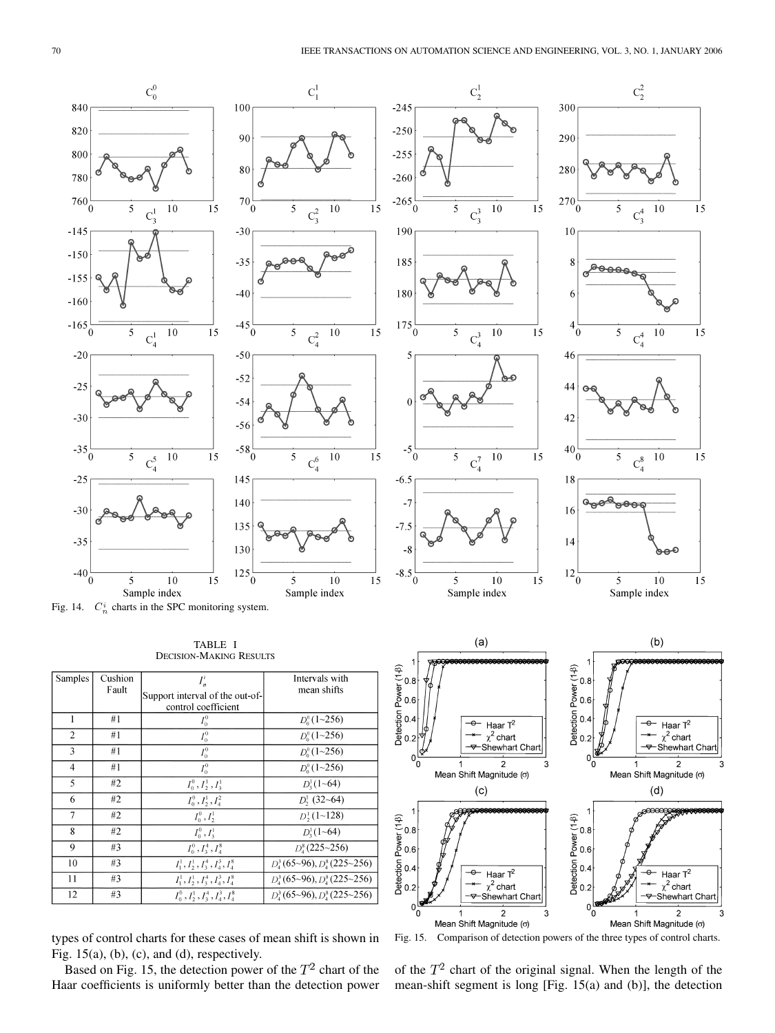

TABLE I DECISION-MAKING RESULTS

| Samples        | Cushion<br>Fault | $I_{n}^{\prime}$<br>Support interval of the out-of-<br>control coefficient | Intervals with<br>mean shifts                        |
|----------------|------------------|----------------------------------------------------------------------------|------------------------------------------------------|
| 1              | #1               | $I^0_0$                                                                    | $D_0^0(1{\sim}256)$                                  |
| $\overline{2}$ | #1               | $I_0^0$                                                                    | $D_0^0(1{\sim}256)$                                  |
| 3              | #1               | $I_0^0$                                                                    | $D_0^0(1\sim256)$                                    |
| $\overline{4}$ | #1               | $I_0^0$                                                                    | $D_0^0(1{\sim}256)$                                  |
| 5              | #2               | $I_0^0, I_2^1, I_3^1$                                                      | $D_{2}^{1}(1-64)$                                    |
| 6              | #2               | $I_0^0, I_2^1, I_4^2$                                                      | $D_2^1$ (32~64)                                      |
| 7              | #2               | $I_0^0, I_2^1$                                                             | $D_{2}^{1}(1~128)$                                   |
| 8              | #2               | $I_0^0, I_3^1$                                                             | $D_2^1(1-64)$                                        |
| 9              | #3               | $I_0^0, I_3^4, I_4^8$                                                      | $D^8(225\sim256)$                                    |
| 10             | #3               | $I_1^1, I_2^1, I_3^4, I_4^3, I_4^8$                                        | $D_4^3$ (65~96), $D_4^8$ (225~256)                   |
| 11             | #3               | $I_1^1, I_2^1, I_3^4, I_4^3, I_4^8$                                        | $D_{4}^{3}(65-96), D_{4}^{8}(225-256)$               |
| 12             | #3               | $I_0^0, I_2^1, I_2^4, I_3^3, I_4^8$                                        | $D_{4}^{3}(65\text{-}96), D_{4}^{8}(225\text{-}256)$ |

types of control charts for these cases of mean shift is shown in Fig. 15(a), (b), (c), and (d), respectively.

Based on Fig. 15, the detection power of the  $T^2$  chart of the Haar coefficients is uniformly better than the detection power



Fig. 15. Comparison of detection powers of the three types of control charts.

of the  $T^2$  chart of the original signal. When the length of the mean-shift segment is long [Fig. 15(a) and (b)], the detection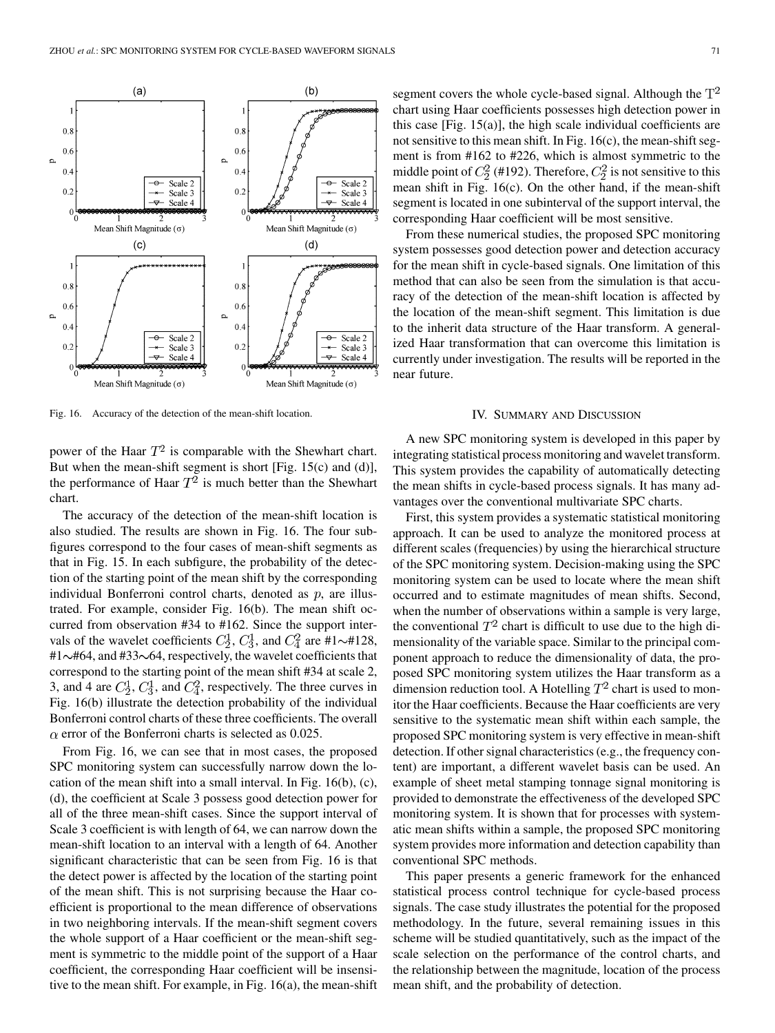

Fig. 16. Accuracy of the detection of the mean-shift location.

power of the Haar  $T^2$  is comparable with the Shewhart chart. But when the mean-shift segment is short [Fig. 15(c) and (d)], the performance of Haar  $T^2$  is much better than the Shewhart chart.

The accuracy of the detection of the mean-shift location is also studied. The results are shown in Fig. 16. The four subfigures correspond to the four cases of mean-shift segments as that in Fig. 15. In each subfigure, the probability of the detection of the starting point of the mean shift by the corresponding individual Bonferroni control charts, denoted as  $p$ , are illustrated. For example, consider Fig. 16(b). The mean shift occurred from observation #34 to #162. Since the support intervals of the wavelet coefficients  $C_2^1$ ,  $C_3^1$ , and  $C_4^2$  are #1~#128,  $#1 \sim #64$ , and  $#33 \sim 64$ , respectively, the wavelet coefficients that correspond to the starting point of the mean shift #34 at scale 2, 3, and 4 are  $C_2^1$ ,  $C_3^1$ , and  $C_4^2$ , respectively. The three curves in Fig. 16(b) illustrate the detection probability of the individual Bonferroni control charts of these three coefficients. The overall  $\alpha$  error of the Bonferroni charts is selected as 0.025.

From Fig. 16, we can see that in most cases, the proposed SPC monitoring system can successfully narrow down the location of the mean shift into a small interval. In Fig. 16(b), (c), (d), the coefficient at Scale 3 possess good detection power for all of the three mean-shift cases. Since the support interval of Scale 3 coefficient is with length of 64, we can narrow down the mean-shift location to an interval with a length of 64. Another significant characteristic that can be seen from Fig. 16 is that the detect power is affected by the location of the starting point of the mean shift. This is not surprising because the Haar coefficient is proportional to the mean difference of observations in two neighboring intervals. If the mean-shift segment covers the whole support of a Haar coefficient or the mean-shift segment is symmetric to the middle point of the support of a Haar coefficient, the corresponding Haar coefficient will be insensitive to the mean shift. For example, in Fig. 16(a), the mean-shift

segment covers the whole cycle-based signal. Although the  $T^2$ chart using Haar coefficients possesses high detection power in this case [Fig. 15(a)], the high scale individual coefficients are not sensitive to this mean shift. In Fig. 16(c), the mean-shift segment is from #162 to #226, which is almost symmetric to the middle point of  $C_2^2$  (#192). Therefore,  $C_2^2$  is not sensitive to this mean shift in Fig. 16(c). On the other hand, if the mean-shift segment is located in one subinterval of the support interval, the corresponding Haar coefficient will be most sensitive.

From these numerical studies, the proposed SPC monitoring system possesses good detection power and detection accuracy for the mean shift in cycle-based signals. One limitation of this method that can also be seen from the simulation is that accuracy of the detection of the mean-shift location is affected by the location of the mean-shift segment. This limitation is due to the inherit data structure of the Haar transform. A generalized Haar transformation that can overcome this limitation is currently under investigation. The results will be reported in the near future.

#### IV. SUMMARY AND DISCUSSION

A new SPC monitoring system is developed in this paper by integrating statistical process monitoring and wavelet transform. This system provides the capability of automatically detecting the mean shifts in cycle-based process signals. It has many advantages over the conventional multivariate SPC charts.

First, this system provides a systematic statistical monitoring approach. It can be used to analyze the monitored process at different scales (frequencies) by using the hierarchical structure of the SPC monitoring system. Decision-making using the SPC monitoring system can be used to locate where the mean shift occurred and to estimate magnitudes of mean shifts. Second, when the number of observations within a sample is very large, the conventional  $T^2$  chart is difficult to use due to the high dimensionality of the variable space. Similar to the principal component approach to reduce the dimensionality of data, the proposed SPC monitoring system utilizes the Haar transform as a dimension reduction tool. A Hotelling  $T^2$  chart is used to monitor the Haar coefficients. Because the Haar coefficients are very sensitive to the systematic mean shift within each sample, the proposed SPC monitoring system is very effective in mean-shift detection. If other signal characteristics (e.g., the frequency content) are important, a different wavelet basis can be used. An example of sheet metal stamping tonnage signal monitoring is provided to demonstrate the effectiveness of the developed SPC monitoring system. It is shown that for processes with systematic mean shifts within a sample, the proposed SPC monitoring system provides more information and detection capability than conventional SPC methods.

This paper presents a generic framework for the enhanced statistical process control technique for cycle-based process signals. The case study illustrates the potential for the proposed methodology. In the future, several remaining issues in this scheme will be studied quantitatively, such as the impact of the scale selection on the performance of the control charts, and the relationship between the magnitude, location of the process mean shift, and the probability of detection.